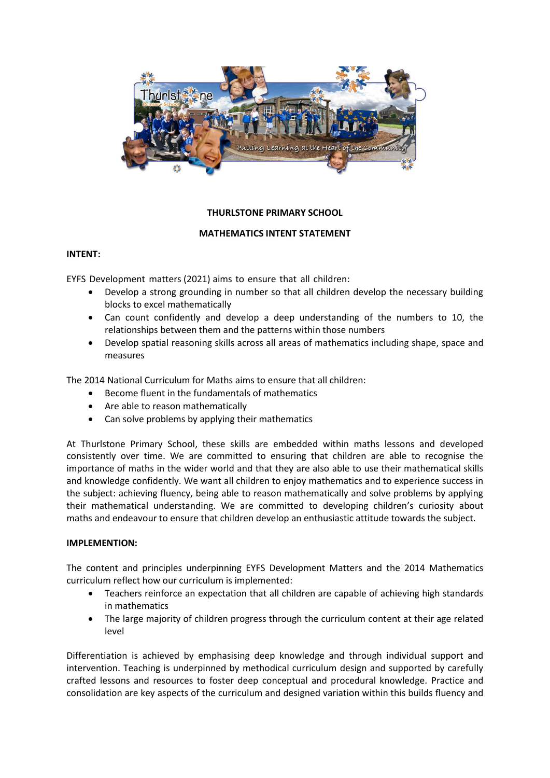

# **THURLSTONE PRIMARY SCHOOL**

## **MATHEMATICS INTENT STATEMENT**

### **INTENT:**

EYFS Development matters (2021) aims to ensure that all children:

- Develop a strong grounding in number so that all children develop the necessary building blocks to excel mathematically
- Can count confidently and develop a deep understanding of the numbers to 10, the relationships between them and the patterns within those numbers
- Develop spatial reasoning skills across all areas of mathematics including shape, space and measures

The 2014 National Curriculum for Maths aims to ensure that all children:

- Become fluent in the fundamentals of mathematics
- Are able to reason mathematically
- Can solve problems by applying their mathematics

At Thurlstone Primary School, these skills are embedded within maths lessons and developed consistently over time. We are committed to ensuring that children are able to recognise the importance of maths in the wider world and that they are also able to use their mathematical skills and knowledge confidently. We want all children to enjoy mathematics and to experience success in the subject: achieving fluency, being able to reason mathematically and solve problems by applying their mathematical understanding. We are committed to developing children's curiosity about maths and endeavour to ensure that children develop an enthusiastic attitude towards the subject.

### **IMPLEMENTION:**

The content and principles underpinning EYFS Development Matters and the 2014 Mathematics curriculum reflect how our curriculum is implemented:

- Teachers reinforce an expectation that all children are capable of achieving high standards in mathematics
- The large majority of children progress through the curriculum content at their age related level

Differentiation is achieved by emphasising deep knowledge and through individual support and intervention. Teaching is underpinned by methodical curriculum design and supported by carefully crafted lessons and resources to foster deep conceptual and procedural knowledge. Practice and consolidation are key aspects of the curriculum and designed variation within this builds fluency and